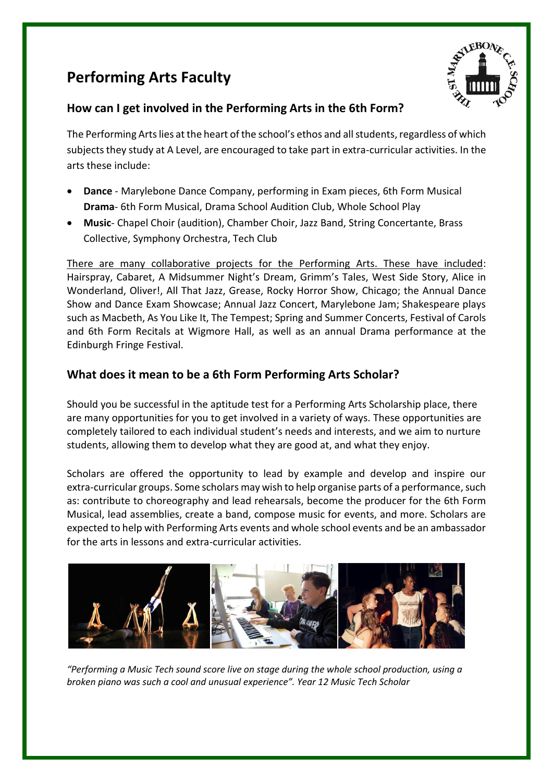# **Performing Arts Faculty**



## **How can I get involved in the Performing Arts in the 6th Form?**

The Performing Arts lies at the heart of the school's ethos and all students, regardless of which subjects they study at A Level, are encouraged to take part in extra-curricular activities. In the arts these include:

- **Dance**  Marylebone Dance Company, performing in Exam pieces, 6th Form Musical **Drama**- 6th Form Musical, Drama School Audition Club, Whole School Play
- **Music** Chapel Choir (audition), Chamber Choir, Jazz Band, String Concertante, Brass Collective, Symphony Orchestra, Tech Club

There are many collaborative projects for the Performing Arts. These have included: Hairspray, Cabaret, A Midsummer Night's Dream, Grimm's Tales, West Side Story, Alice in Wonderland, Oliver!, All That Jazz, Grease, Rocky Horror Show, Chicago; the Annual Dance Show and Dance Exam Showcase; Annual Jazz Concert, Marylebone Jam; Shakespeare plays such as Macbeth, As You Like It, The Tempest; Spring and Summer Concerts, Festival of Carols and 6th Form Recitals at Wigmore Hall, as well as an annual Drama performance at the Edinburgh Fringe Festival.

## **What does it mean to be a 6th Form Performing Arts Scholar?**

Should you be successful in the aptitude test for a Performing Arts Scholarship place, there are many opportunities for you to get involved in a variety of ways. These opportunities are completely tailored to each individual student's needs and interests, and we aim to nurture students, allowing them to develop what they are good at, and what they enjoy.

Scholars are offered the opportunity to lead by example and develop and inspire our extra-curricular groups. Some scholars may wish to help organise parts of a performance, such as: contribute to choreography and lead rehearsals, become the producer for the 6th Form Musical, lead assemblies, create a band, compose music for events, and more. Scholars are expected to help with Performing Arts events and whole school events and be an ambassador for the arts in lessons and extra-curricular activities.



*"Performing a Music Tech sound score live on stage during the whole school production, using a broken piano was such a cool and unusual experience". Year 12 Music Tech Scholar*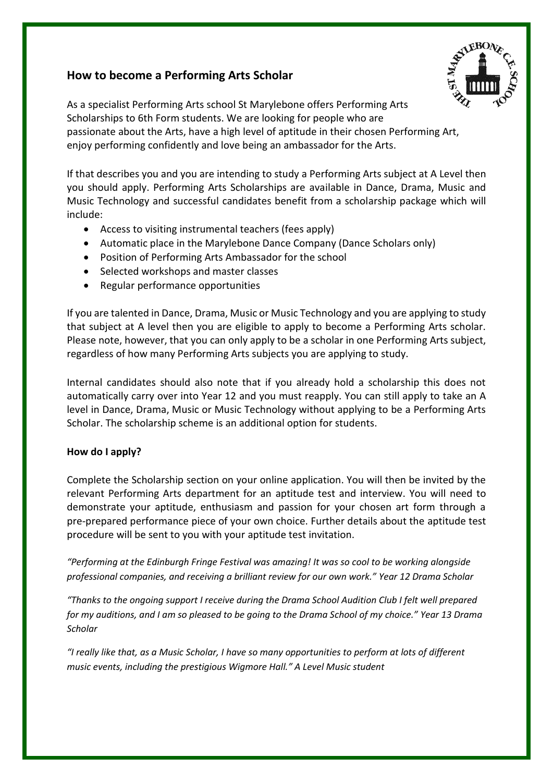## **How to become a Performing Arts Scholar**



As a specialist Performing Arts school St Marylebone offers Performing Arts Scholarships to 6th Form students. We are looking for people who are passionate about the Arts, have a high level of aptitude in their chosen Performing Art, enjoy performing confidently and love being an ambassador for the Arts.

If that describes you and you are intending to study a Performing Arts subject at A Level then you should apply. Performing Arts Scholarships are available in Dance, Drama, Music and Music Technology and successful candidates benefit from a scholarship package which will include:

- Access to visiting instrumental teachers (fees apply)
- Automatic place in the Marylebone Dance Company (Dance Scholars only)
- Position of Performing Arts Ambassador for the school
- Selected workshops and master classes
- Regular performance opportunities

If you are talented in Dance, Drama, Music or Music Technology and you are applying to study that subject at A level then you are eligible to apply to become a Performing Arts scholar. Please note, however, that you can only apply to be a scholar in one Performing Arts subject, regardless of how many Performing Arts subjects you are applying to study.

Internal candidates should also note that if you already hold a scholarship this does not automatically carry over into Year 12 and you must reapply. You can still apply to take an A level in Dance, Drama, Music or Music Technology without applying to be a Performing Arts Scholar. The scholarship scheme is an additional option for students.

### **How do I apply?**

Complete the Scholarship section on your online application. You will then be invited by the relevant Performing Arts department for an aptitude test and interview. You will need to demonstrate your aptitude, enthusiasm and passion for your chosen art form through a pre-prepared performance piece of your own choice. Further details about the aptitude test procedure will be sent to you with your aptitude test invitation.

*"Performing at the Edinburgh Fringe Festival was amazing! It was so cool to be working alongside professional companies, and receiving a brilliant review for our own work." Year 12 Drama Scholar*

*"Thanks to the ongoing support I receive during the Drama School Audition Club I felt well prepared for my auditions, and I am so pleased to be going to the Drama School of my choice." Year 13 Drama Scholar*

*"I really like that, as a Music Scholar, I have so many opportunities to perform at lots of different music events, including the prestigious Wigmore Hall." A Level Music student*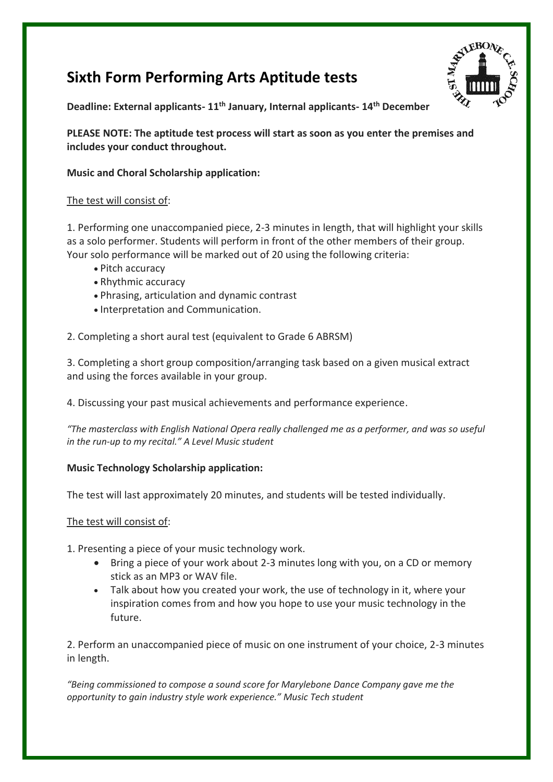# **Sixth Form Performing Arts Aptitude tests**



**Deadline: External applicants- 11th January, Internal applicants- 14th December**

**PLEASE NOTE: The aptitude test process will start as soon as you enter the premises and includes your conduct throughout.**

**Music and Choral Scholarship application:**

### The test will consist of:

1. Performing one unaccompanied piece, 2-3 minutes in length, that will highlight your skills as a solo performer. Students will perform in front of the other members of their group. Your solo performance will be marked out of 20 using the following criteria:

- Pitch accuracy
- Rhythmic accuracy
- Phrasing, articulation and dynamic contrast
- Interpretation and Communication.

2. Completing a short aural test (equivalent to Grade 6 ABRSM)

3. Completing a short group composition/arranging task based on a given musical extract and using the forces available in your group.

4. Discussing your past musical achievements and performance experience.

*"The masterclass with English National Opera really challenged me as a performer, and was so useful in the run-up to my recital." A Level Music student*

### **Music Technology Scholarship application:**

The test will last approximately 20 minutes, and students will be tested individually.

The test will consist of:

1. Presenting a piece of your music technology work.

- Bring a piece of your work about 2-3 minutes long with you, on a CD or memory stick as an MP3 or WAV file.
- Talk about how you created your work, the use of technology in it, where your inspiration comes from and how you hope to use your music technology in the future.

2. Perform an unaccompanied piece of music on one instrument of your choice, 2-3 minutes in length.

*"Being commissioned to compose a sound score for Marylebone Dance Company gave me the opportunity to gain industry style work experience." Music Tech student*